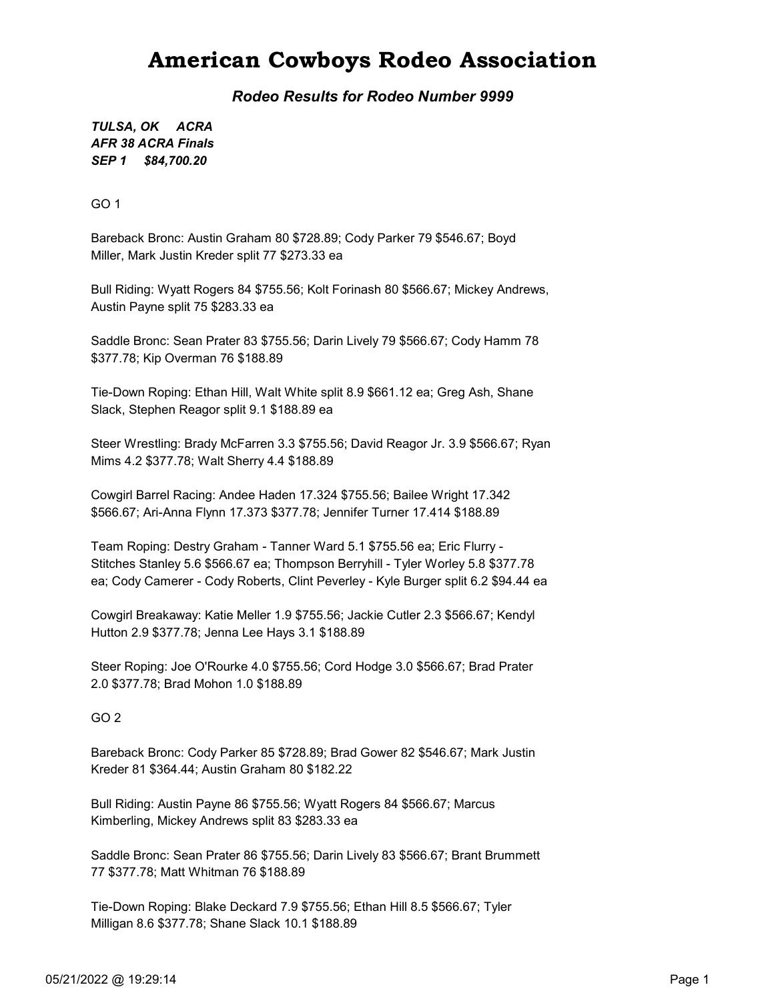### American Cowboys Rodeo Association

Rodeo Results for Rodeo Number 9999

SEP 1 \$84,700.20 TULSA, OK ACRA AFR 38 ACRA Finals

GO 1

Bareback Bronc: Austin Graham 80 \$728.89; Cody Parker 79 \$546.67; Boyd Miller, Mark Justin Kreder split 77 \$273.33 ea

Bull Riding: Wyatt Rogers 84 \$755.56; Kolt Forinash 80 \$566.67; Mickey Andrews, Austin Payne split 75 \$283.33 ea

Saddle Bronc: Sean Prater 83 \$755.56; Darin Lively 79 \$566.67; Cody Hamm 78 \$377.78; Kip Overman 76 \$188.89

Tie-Down Roping: Ethan Hill, Walt White split 8.9 \$661.12 ea; Greg Ash, Shane Slack, Stephen Reagor split 9.1 \$188.89 ea

Steer Wrestling: Brady McFarren 3.3 \$755.56; David Reagor Jr. 3.9 \$566.67; Ryan Mims 4.2 \$377.78; Walt Sherry 4.4 \$188.89

Cowgirl Barrel Racing: Andee Haden 17.324 \$755.56; Bailee Wright 17.342 \$566.67; Ari-Anna Flynn 17.373 \$377.78; Jennifer Turner 17.414 \$188.89

Team Roping: Destry Graham - Tanner Ward 5.1 \$755.56 ea; Eric Flurry - Stitches Stanley 5.6 \$566.67 ea; Thompson Berryhill - Tyler Worley 5.8 \$377.78 ea; Cody Camerer - Cody Roberts, Clint Peverley - Kyle Burger split 6.2 \$94.44 ea

Cowgirl Breakaway: Katie Meller 1.9 \$755.56; Jackie Cutler 2.3 \$566.67; Kendyl Hutton 2.9 \$377.78; Jenna Lee Hays 3.1 \$188.89

Steer Roping: Joe O'Rourke 4.0 \$755.56; Cord Hodge 3.0 \$566.67; Brad Prater 2.0 \$377.78; Brad Mohon 1.0 \$188.89

GO 2

Bareback Bronc: Cody Parker 85 \$728.89; Brad Gower 82 \$546.67; Mark Justin Kreder 81 \$364.44; Austin Graham 80 \$182.22

Bull Riding: Austin Payne 86 \$755.56; Wyatt Rogers 84 \$566.67; Marcus Kimberling, Mickey Andrews split 83 \$283.33 ea

Saddle Bronc: Sean Prater 86 \$755.56; Darin Lively 83 \$566.67; Brant Brummett 77 \$377.78; Matt Whitman 76 \$188.89

Tie-Down Roping: Blake Deckard 7.9 \$755.56; Ethan Hill 8.5 \$566.67; Tyler Milligan 8.6 \$377.78; Shane Slack 10.1 \$188.89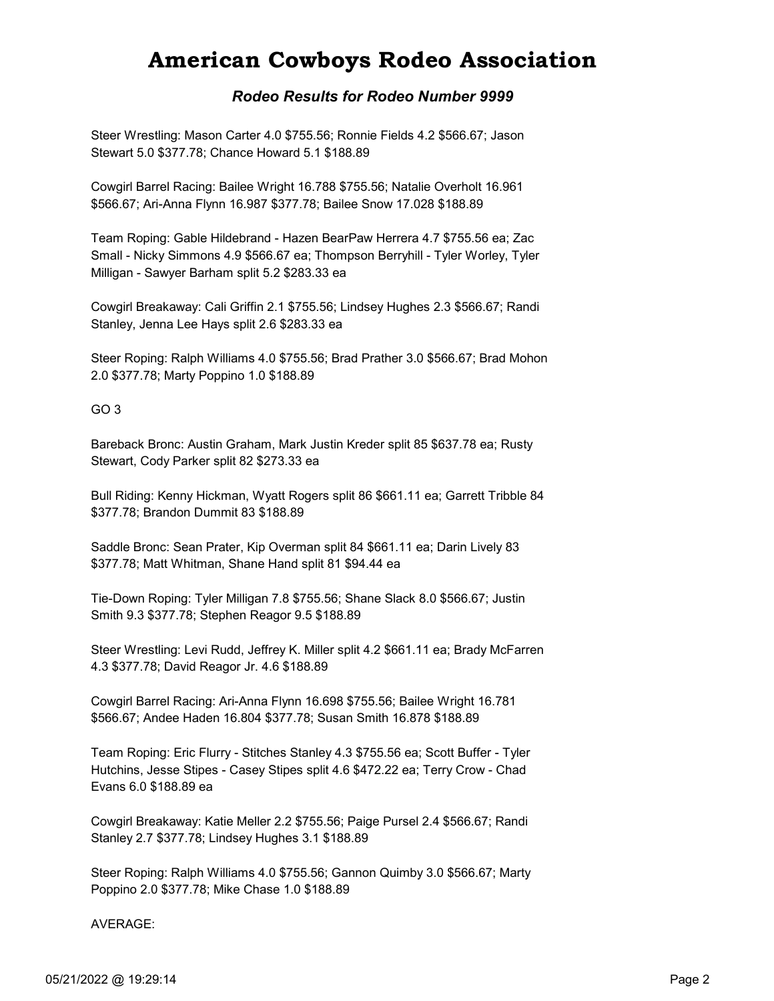## American Cowboys Rodeo Association

#### Rodeo Results for Rodeo Number 9999

Steer Wrestling: Mason Carter 4.0 \$755.56; Ronnie Fields 4.2 \$566.67; Jason Stewart 5.0 \$377.78; Chance Howard 5.1 \$188.89

Cowgirl Barrel Racing: Bailee Wright 16.788 \$755.56; Natalie Overholt 16.961 \$566.67; Ari-Anna Flynn 16.987 \$377.78; Bailee Snow 17.028 \$188.89

Team Roping: Gable Hildebrand - Hazen BearPaw Herrera 4.7 \$755.56 ea; Zac Small - Nicky Simmons 4.9 \$566.67 ea; Thompson Berryhill - Tyler Worley, Tyler Milligan - Sawyer Barham split 5.2 \$283.33 ea

Cowgirl Breakaway: Cali Griffin 2.1 \$755.56; Lindsey Hughes 2.3 \$566.67; Randi Stanley, Jenna Lee Hays split 2.6 \$283.33 ea

Steer Roping: Ralph Williams 4.0 \$755.56; Brad Prather 3.0 \$566.67; Brad Mohon 2.0 \$377.78; Marty Poppino 1.0 \$188.89

GO 3

Bareback Bronc: Austin Graham, Mark Justin Kreder split 85 \$637.78 ea; Rusty Stewart, Cody Parker split 82 \$273.33 ea

Bull Riding: Kenny Hickman, Wyatt Rogers split 86 \$661.11 ea; Garrett Tribble 84 \$377.78; Brandon Dummit 83 \$188.89

Saddle Bronc: Sean Prater, Kip Overman split 84 \$661.11 ea; Darin Lively 83 \$377.78; Matt Whitman, Shane Hand split 81 \$94.44 ea

Tie-Down Roping: Tyler Milligan 7.8 \$755.56; Shane Slack 8.0 \$566.67; Justin Smith 9.3 \$377.78; Stephen Reagor 9.5 \$188.89

Steer Wrestling: Levi Rudd, Jeffrey K. Miller split 4.2 \$661.11 ea; Brady McFarren 4.3 \$377.78; David Reagor Jr. 4.6 \$188.89

Cowgirl Barrel Racing: Ari-Anna Flynn 16.698 \$755.56; Bailee Wright 16.781 \$566.67; Andee Haden 16.804 \$377.78; Susan Smith 16.878 \$188.89

Team Roping: Eric Flurry - Stitches Stanley 4.3 \$755.56 ea; Scott Buffer - Tyler Hutchins, Jesse Stipes - Casey Stipes split 4.6 \$472.22 ea; Terry Crow - Chad Evans 6.0 \$188.89 ea

Cowgirl Breakaway: Katie Meller 2.2 \$755.56; Paige Pursel 2.4 \$566.67; Randi Stanley 2.7 \$377.78; Lindsey Hughes 3.1 \$188.89

Steer Roping: Ralph Williams 4.0 \$755.56; Gannon Quimby 3.0 \$566.67; Marty Poppino 2.0 \$377.78; Mike Chase 1.0 \$188.89

AVERAGE: